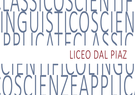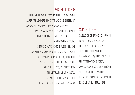## PERCHÉ II I ICEO?

IN UN MONDO CHE CAMBIA IN FRETTA, OCCORRE SAPER APPRENDERE IN CONTINUATIONE E NESSUNA CONOSCENZA ORMALÈ DATA UNA VOLTA PER TUTTE IL LICEO T'INSEGNA A IMPARARE, A SAPER ACQUISIRE SEMPRE NUOVE COMPETENZE, A METTER A PUNTO UN METODO DI STUDIO AUTONOMO E FLESSIBILE, CHE TI CONSENTA DI CONTINUARE IN MODO FEFICACE I SUCCESSIVI STUDI SUPERIORI, NATURALE PROSECUZIONE DEI PERCORSI LICEALI. PERCHÉ IL LICEO, INNANZITUTTO, TI PREPARA PER L'UNIVERSITÀ. SE SCEGILIL LICEO VUOL DIRE CHE HAI DECISO DI GUARDARE LONTANO.

### OUALE LICEO?

QUELLO CHE RISPONDE DI PIÙ ALLE TUF ATTITUDINI F ALLE TUF PREFERENZE: IL LICEO CLASSICO SF PREFERISCLIF MATERIE UMANISTICHE, QUELLO SCIENTIFICO PER MATEMATICA E FISICA, CON L'OPZIONE SCIENZE APPLICATE SE TI PIACCIONO LE SCIENZE; IL LINGUISTICO SF LA TUA PASSIONE SONO I FINGUE STRANIERE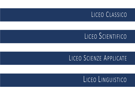## LICEO CLASSICO

# LICEO SCIENTIFICO

# LICEO SCIENZE APPLICATE

# LICEO LINGUISTICO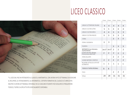# LICEO CLASSICO



\* IL LICEO DAL PIAZ HA POTENZIATO AL CLASSICO LA MATEMATICA, CON UN'ORA IN PIÙ SETTIMANALE DA DEDICARE AL RECUPERO, AL POTENZIAMENTO, ALL'INFORMATICA. L'OFFERTA FORMATIVA DEL CLASSICO SI È ARRICCHITA INOLTRE DI UN'ORA SETTIMANALE OPZIONALE IN CUI CIASCUNO STUDENTE PUÒ SCEGLIERE SE FREQUENTARE TEDESCO, TEATRO O ALTRE ATTIVITÀ EVENTUALMENTE DISPONIBILI

|                                                              | 1°anno         | 2°anno         | 3°anno         | $4^\circ$ anno | 5°anno         |
|--------------------------------------------------------------|----------------|----------------|----------------|----------------|----------------|
|                                                              |                |                |                |                |                |
| <b>INGUA FIFTTFRATURA ITALIANA</b>                           | 4              | 4              | 4              | 4              | 4              |
| <b>I INGUA F CUITURA LATINA</b>                              | 5              | 5              | 4              | 4              | 4              |
| <b>INGUAF CULTURA GRECA</b>                                  | 4              | 4              | 3              | 3              | 3              |
| <b>I INGUA F CULTURA INGLESE</b>                             | 3              | 3              | 3              | 3              | 3              |
| <b>STORIA</b>                                                |                |                | 3              | 3              | 3              |
| STORIA F GFOGRAFIA                                           | 3              | 3              |                |                |                |
| FILOSOFIA                                                    |                |                | 3              | 3              | 3              |
| MATEMATICA (con Informatica<br>al primo biennio)             | $3+1*$         | $3 + 1*$       | $\mathfrak z$  | $\mathfrak z$  | $\mathfrak{p}$ |
| SCIENZE NATURALI (Biologia,<br>Chimica, Scienze della Terra) | $\mathfrak{p}$ | $\mathfrak{D}$ | $\mathfrak{p}$ | $\mathcal{P}$  | $\mathfrak{D}$ |
| STORIA DELI'ARTE                                             |                |                | $\mathfrak{D}$ | $\mathfrak{p}$ | $\overline{2}$ |
| SCIENZE MOTORIE E SPORTIVE                                   | $\mathfrak{D}$ | $\mathfrak{D}$ | $\mathfrak{D}$ | $\mathfrak{D}$ | $\mathfrak{D}$ |
| RELIGIONE CATTOLICA O ATTIVITÀ<br><b>AITERNATIVE</b>         | 1              | 1              | 1              | 1              | 1              |
| TEDESCO O TEATRO OPZIONALI                                   | 1              | 1              |                |                |                |
| FISICA                                                       |                |                | $\mathfrak{p}$ | $\mathfrak z$  | $\mathfrak{p}$ |
| <b>TOTALE</b>                                                | 29             | 29             | 31             | 31             | 31             |
|                                                              |                |                |                |                |                |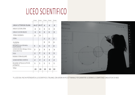# LICEO SCIENTIFICO

|                                                              | 1°anno         | P°anno         | 3°anno         | $4^\circ$ anno | 5°anno         |
|--------------------------------------------------------------|----------------|----------------|----------------|----------------|----------------|
| LINGUA E LETTERATURA ITALIANA                                | $4 + 1*$       | $4 + 1*$       |                |                | 4              |
|                                                              |                |                | 4              | 4              |                |
| <b>INGUAF CULTURA LATINA</b>                                 | 3              | 3              | 3              | 3              | 3              |
| LINGUA E CULTURA INGLESE                                     | 3              | 3              | 3              | 3              | 3              |
| STORIA E GEOGRAFIA                                           | 3              | 3              |                |                |                |
| <b>STORIA</b>                                                |                |                | $\overline{2}$ | $\mathfrak{D}$ | $\overline{2}$ |
| FILOSOFIA                                                    |                |                | 3              | 3              | 3              |
| MATEMATICA (con Informatica<br>al primo biennio)             | 5              | 5              | $\Delta$       | 4              | 4              |
| SCIENZE NATURALI (Biologia, Chimica-<br>Scienze della Terra) | $\mathfrak{D}$ | $\overline{2}$ | 3              | 3              | 3              |
| <b>FISICA</b>                                                | $\mathfrak{D}$ | $\overline{2}$ | 3              | 3              | 3              |
| DISEGNO E STORIA DELL'ARTE                                   | $\mathfrak{p}$ | $\mathfrak{p}$ | $\mathfrak{p}$ | $\mathfrak{D}$ | $\mathfrak{p}$ |
| SCIENZE MOTORIE E SPORTIVE                                   | $\mathcal{P}$  | $\mathfrak{p}$ | $\mathcal{P}$  | $\mathcal{P}$  | $\overline{2}$ |
| RELIGIONE CATTOLICA O ATTIVITÀ<br>ALTERNATIVE                | 1              | 1              | 1              | 1              | 1              |
| <b>TOTALE</b>                                                | 28             | 28             | 30             | 30             | 30             |
|                                                              |                |                |                |                |                |



\*IL LICEO DAL PIAZ HA POTENZIATO AL LO SCIENTIFICO L'ITALIANO, CON UN'ORA IN PIÙ SETTIMANALE PER GARANTIRE AL BIENNIO LE COMPETENZE LINGUISTICHE DI BASE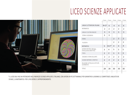# LICEO SCIENZE APPLICATE



|                                                              | 1°anno         | $2°$ anno      | $3°$ anno      | $4°$ anno      | 5°anno         |
|--------------------------------------------------------------|----------------|----------------|----------------|----------------|----------------|
|                                                              |                |                |                |                |                |
| LINGUA E LETTERATURA ITALIANA                                | $4 + 1*$       | 4              | 4              | 4              | 4              |
| <b>INFORMATICA</b>                                           | $\mathfrak z$  | $\mathfrak{p}$ | $\mathfrak{D}$ | $\mathfrak{p}$ | $\mathfrak{p}$ |
| <b>INGUAF CULTURA INGLESE</b>                                | 3              | 3              | 3              | 3              | 3              |
| STORIA F GFOGRAFIA                                           | 3              | 3              |                |                |                |
| <b>STORIA</b>                                                |                |                | $\overline{2}$ | $\overline{2}$ | $\overline{2}$ |
| FII OSOFIA                                                   |                |                | $\overline{2}$ | $\overline{2}$ | $\mathfrak{p}$ |
| MATEMATICA                                                   | 5              | $4 + 1*$       | 4              | 4              | 4              |
| SCIENZE NATURALI (Biologia,<br>Chimica, Scienze della Terra) | 3              | 4              | 5              | 5              | 5              |
| FISICA                                                       | $\mathfrak{p}$ | $\overline{2}$ | 3              | 3              | 3              |
| DISEGNO E STORIA DELL'ARTE                                   | $\overline{2}$ | $\overline{2}$ | $\overline{2}$ | $\overline{2}$ | $\overline{2}$ |
| SCIENZE MOTORIE E SPORTIVE                                   | $\mathcal{P}$  | $\mathfrak{D}$ | $\mathfrak{D}$ | $\mathcal{P}$  | $\mathfrak{D}$ |
| RELIGIONE CATTOLICA O ATTIVITÀ<br><b>AITFRNATIVF</b>         | 1              | 1              | 1              | 1              | 1              |
| <b>TOTALE</b>                                                | 28             | 28             | 30             | 30             | 30             |
|                                                              |                |                |                |                |                |

\* IL LICEO DAL PIAZ HA POTENZIATO NELL'INDIRIZZO SCIENZE APPLICATE L'ITALIANO, CON UN'ORA IN PIÙ SETTIMANALE PER GARANTIRE AL BIENNIO LE COMPETENZE LINGUISTICHE DI BASE, LA MATEMATICA PER IL RECUPERO E L'APPROFONDIMENTO.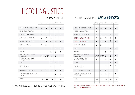# LICEO LINGUISTICO

|                                                             | $1°$ anno      | 2°anno        | $3°$ anno      | $4°$ anno      | 5°anno         |
|-------------------------------------------------------------|----------------|---------------|----------------|----------------|----------------|
|                                                             |                |               |                |                |                |
| <b>I INGUA E I FTTFRATURA ITALIANA</b>                      | 4              | 4             | 4              | 4              | 4              |
| <b>INGUA F CULTURA LATINA</b>                               | $\mathfrak z$  | $\mathfrak z$ |                |                |                |
| <b>INGUA F CULTURA INGLESE</b>                              | 4              | 4             | 3              | 3              | 3              |
| <b>I INGUA F CUITURA FRANCESE</b>                           | 3              | 3             | 4              | 4              | 4              |
| <b>INGUA E CULTURA TEDESCA</b>                              | 3              | 3             | 4              | 4              | 4              |
| STORIA F GFOGRAFIA                                          | 3              | 3             |                |                |                |
| <b>STORIA</b>                                               |                |               | $\mathfrak{D}$ | $\mathfrak{D}$ | $\overline{2}$ |
| <b>FILOSOFIA</b>                                            |                |               | $\mathfrak z$  | $\mathfrak{D}$ | $\mathfrak{p}$ |
| MATEMATICA (con Informatica<br>al primo biennio)            |                | $3+1*3+1*$    | $\mathfrak{D}$ | $\mathfrak{p}$ | $\mathfrak{p}$ |
| SCIENZE NATURALI (Biologia,<br>Chimica.Scienze della Terra) | $\mathfrak z$  | $\mathfrak z$ | $\mathfrak z$  | $\mathfrak z$  | $\mathfrak z$  |
| <b>FISICA</b>                                               |                |               | $\mathfrak{D}$ | $\mathcal{P}$  | $\mathcal{P}$  |
| STORIA DELI'ARTE                                            |                |               | $\mathfrak z$  | $\mathfrak z$  | $\mathfrak{D}$ |
| SCIENZE MOTORIE E SPORTIVE                                  | $\mathfrak{p}$ | $\mathcal{P}$ | $\mathfrak{p}$ | $\mathfrak{p}$ | $\mathfrak{p}$ |
| RELIGIONE CATTOLICA O ATTIVITÀ<br><b>AITFRNATIVF</b>        | 1              | 1             | 1              | 1              | 1              |
| TOTAI F                                                     | 28             | 28            | 30             | 30             | 30             |
|                                                             |                |               |                |                |                |

\*UN'ORA IN PIÙ DA DEDICARE AL RECUPERO, AL POTENZIAMENTO, ALL'INFORMATICA

#### PRIMA SEZIONE SECONDA SEZIONE *NUOVA PROPOSTA*

|                                                              | $1°$ anno      | 2°anno         | $3°$ anno                | $4°$ anno                | 5°anno         |
|--------------------------------------------------------------|----------------|----------------|--------------------------|--------------------------|----------------|
|                                                              |                |                |                          |                          |                |
| <b>I INGUA E I FTTFRATURA ITALIANA</b>                       | $\overline{4}$ | 4              | 4                        | 4                        | 4              |
| <b>IINGUA F CUITURA I ATINA</b>                              | $\mathfrak{p}$ | $\mathfrak{D}$ |                          |                          |                |
| <b>IINGUA E CULTURA INGLESE</b>                              | 4              | $\Delta$       | 3                        | 3                        | 3              |
| <b>IINGUA E CUITURA SPAGNOLA</b>                             | 3              | 3              | 4                        | 4                        | 4              |
| <b>LINGUA E CULTURA CINESE</b>                               | 3              | 3              | 4                        | 4                        | 4              |
| STORIA F GFOGRAFIA                                           | 3              | 3              |                          |                          |                |
| <b>STORIA</b>                                                |                |                | $\mathfrak{D}$           | $\mathcal{P}$            | $\mathfrak{p}$ |
| <b>FILOSOFIA</b>                                             |                |                | $\mathfrak{p}$           | $\mathfrak{p}$           | $\overline{2}$ |
| MATEMATICA (con Informatica<br>al primo biennio)             | $3 + 1*$       | $3+1*$         | $\mathfrak{D}$           | $\mathfrak{D}$           | $\mathfrak{p}$ |
| SCIENZE NATURALI (Biologia,<br>Chimica, Scienze della Terra) | $\overline{2}$ | $\mathfrak{D}$ | $\mathfrak{p}$           | $\overline{\phantom{a}}$ | $\mathfrak{p}$ |
| <b>FISICA</b>                                                |                |                | $\overline{\phantom{a}}$ | $\mathfrak{D}$           | $\mathfrak{D}$ |
| STORIA DELL'ARTE                                             |                |                | $\mathfrak{p}$           | $\mathfrak{p}$           | $\mathfrak{p}$ |
| SCIENZE MOTORIE E SPORTIVE                                   | $\mathfrak{D}$ | $\mathfrak{D}$ | $\mathfrak{D}$           | $\mathfrak{D}$           | $\mathfrak{D}$ |
| RELIGIONE CATTOLICA O ATTIVITÀ<br><b>AITERNATIVE</b>         | 1              | 1              | 1                        | 1                        | 1              |
| TOTAL F                                                      | 28             | 28             | 30                       | 30                       | 30             |
|                                                              |                |                |                          |                          |                |

SECONDA SEZIONE: AMPLIAMENTO DELL'OFFERTA FORMATIVA CON LO STUDIO DELLA LINGUA CINESE E SPAGNOLA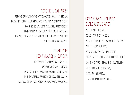## COSA SI FA AL DAL PIAZ OLTRE A STUDIARE? PUOL CANTARE NEL CORO "MUSICALICEO", PUOLRECITARE NEL GRUPPO TEATRALE DEI "MESSINSCENA", PUOLSCRIVERE SU "METIS" II GIORNALF DEGLI STUDENTI DEL LICEO DAL PIAZ, PUOI SEGUIRE LE ATTIVITÀ DI LETTURA ESPRESSIVA, PITTURA, GRAFICA E MOLTI, MOLTI SPORT......

## PFRCHÉ II DAI PIA7?

PERCHÉ È UN LICEO CHE VANTA OLTRE 50 ANNI DI STORIA DURANTE I QUALI HA DIPLOMATO MIGLIAIA DI STUDENTI CHE POLSI SONO LAUREATI NELLE PIÙ PRESTIGIOSE UNIVERSITÀ IN ITALIA E ALL'ESTERO. IL DAL PIAZ È STATO II TRAMPOI INO PER MOITE BRII I ANTI CARRIERE IN TUTTE I F PROFESSIONI.

## GUARDARF (ED ANDARE) IN EUROPA

NELL'AMBITO DEI DIVERSI PROGETTI, SCAMBI CULTURALI, VIAGGI DI ISTRUZIONE, I NOSTRI STUDENTI SONO STATI IN INGHILTERRA, FRANCIA, GRECIA, GERMANIA, AUSTRIA, UNGHERIA, POLONIA, ROMANIA, TURCHIA....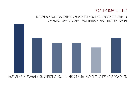## COSA SI FA DOPO IL LICEO?

LA QUASI TOTALITÀ DEI NOSTRI ALUNNI SI ISCRIVE ALL'UNIVERSITÀ NELLE FACOLTÀ E NELLE SEDI PIÙ DIVERSE. ECCO DOVE SONO ANDATI I NOSTRI DIPLOMATI NEGLI ULTIMI QUATTRO ANNI

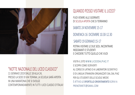

## "NOTTE NAZIONALE DEL LICEO CLASSICO"

11 GENNAIO 2019 DALLE 18 ALLA 24, PRESSO LA SEDE DI VIA TOFANA; LA SCUOLA SARÀ APERTA IN UNA MARATONA CHE SI SVOLGE CONTEMPORANEAMENTE IN TUTTI I LICEL CLASSICI D'ITALIAI

## QUANDO POSSO VISITARE IL LICEO?

PUOLVENIRE ALLE GIORNATE DI SCHOLA APERTA CHE SI TERRANNO

SABATO 24 NOVEMBRE 15-17

DOMENICA 16 DICEMBRE 10.30-12.30

### SABATO 19 GENNAIO 15-17

POTRAI VISITARE LE DUE SEDI, INCONTRARE **INSEGNANTI E STUDENTI** E CHIEDERE TUTTO QUELLO CHE VUOI

VISITA IL SITO WWW.LICEODALPIAZ.IT F SCOPRI COME ISCRIVERTI AL CORSO DI LATINO O ALLARORATORI SCIENTIFICI O DI LINGUA STRANIFRA ORGANIZZATI DAL DAL PIAZ PER GLI STUDENTI DELLE SCUOLE MEDIE È ATTIVO I O SPORTELLO ORIENTAMENTO SCRIVI A PRENOTARETE@GMAIL.COM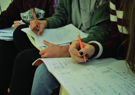